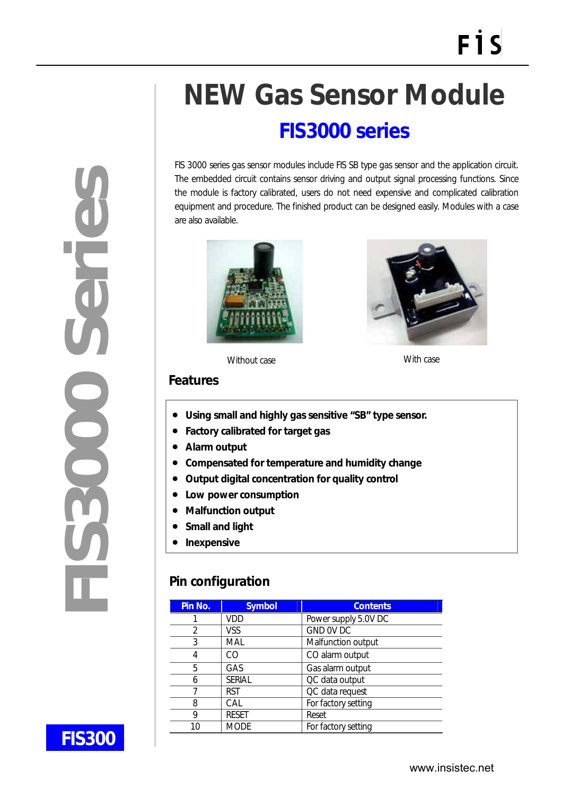# **NEW Gas Sensor Module**

## **FIS3000 series**

FIS 3000 series gas sensor modules include FIS SB type gas sensor and the application circuit. The embedded circuit contains sensor driving and output signal processing functions. Since the module is factory calibrated, users do not need expensive and complicated calibration equipment and procedure. The finished product can be designed easily. Modules with a case are also available.





Without case **With case** 

#### **Features**

- **Using small and highly gas sensitive "SB" type sensor.**
- **Factory calibrated for target gas**
- **Alarm output**
- **Compensated for temperature and humidity change**
- **Output digital concentration for quality control**
- **Low power consumption**
- **Malfunction output**
- **Small and light**
- **Inexpensive**

### **Pin configuration**

| Pin No. | <b>Symbol</b> | <b>Contents</b>      |
|---------|---------------|----------------------|
|         | VDD           | Power supply 5.0V DC |
| 2       | VSS           | GND OV DC            |
| 3       | MAL           | Malfunction output   |
| 4       | CΩ            | CO alarm output      |
| 5       | <b>GAS</b>    | Gas alarm output     |
| 6       | <b>SERIAL</b> | QC data output       |
|         | <b>RST</b>    | QC data request      |
| 8       | CAL           | For factory setting  |
| 9       | <b>RESET</b>  | Reset                |
| 10      | <b>MODE</b>   | For factory setting  |



 $\overline{a}$ 

**FIS300**